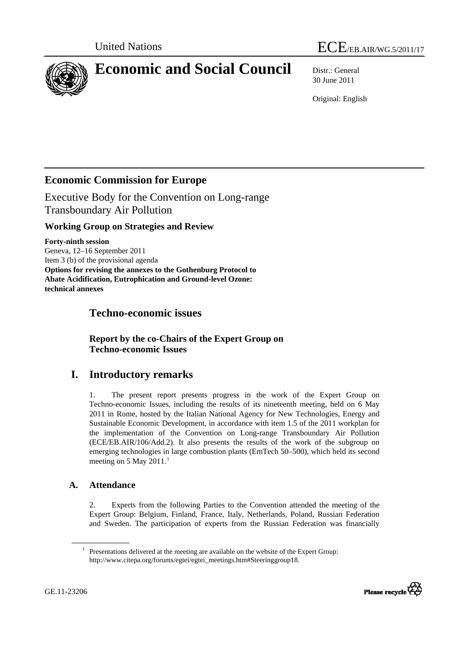

<span id="page-0-0"></span>

# **Economic and Social Council** Distr.: General

30 June 2011

Original: English

# **Economic Commission for Europe**

Executive Body for the Convention on Long-range Transboundary Air Pollution

# **Working Group on Strategies and Review**

**Forty-ninth session**  Geneva, 12–16 September 2011 Item 3 (b) of the provisional agenda **Options for revising the annexes to the Gothenburg Protocol to Abate Acidification, Eutrophication and Ground-level Ozone: technical annexes**

# **Techno-economic issues**

 **Report by the co-Chairs of the Expert Group on Techno-economic Issues** 

# **I. Introductory remarks**

1. The present report presents progress in the work of the Expert Group on Techno-economic Issues, including the results of its nineteenth meeting, held on 6 May 2011 in Rome, hosted by the Italian National Agency for New Technologies, Energy and Sustainable Economic Development, in accordance with item 1.5 of the 2011 workplan for the implementation of the Convention on Long-range Transboundary Air Pollution (ECE/EB.AIR/106/Add.2). It also presents the results of the work of the subgroup on emerging technologies in large combustion plants (EmTech 50–500), which held its second meeting on 5 May 20[1](#page-0-0)1. $<sup>1</sup>$ </sup>

## **A. Attendance**

2. Experts from the following Parties to the Convention attended the meeting of the Expert Group: Belgium, Finland, France, Italy, Netherlands, Poland, Russian Federation and Sweden. The participation of experts from the Russian Federation was financially

<sup>&</sup>lt;sup>1</sup> Presentations delivered at the meeting are available on the website of the Expert Group: [http://www.citepa.org/forums/egtei/egtei\\_meetings.htm#Steeringgroup18](http://www.citepa.org/forums/egtei/egtei_meetings.htm#Steeringgroup18).

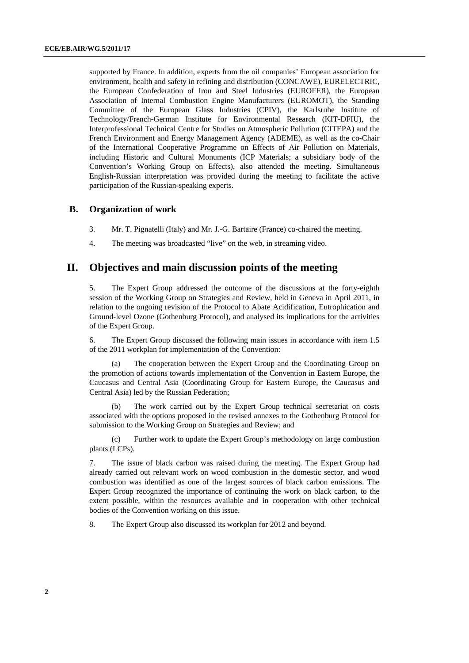supported by France. In addition, experts from the oil companies' European association for environment, health and safety in refining and distribution (CONCAWE), EURELECTRIC, the European Confederation of Iron and Steel Industries (EUROFER), the European Association of Internal Combustion Engine Manufacturers (EUROMOT), the Standing Committee of the European Glass Industries (CPIV), the Karlsruhe Institute of Technology/French-German Institute for Environmental Research (KIT-DFIU), the Interprofessional Technical Centre for Studies on Atmospheric Pollution (CITEPA) and the French Environment and Energy Management Agency (ADEME), as well as the co-Chair of the International Cooperative Programme on Effects of Air Pollution on Materials, including Historic and Cultural Monuments (ICP Materials; a subsidiary body of the Convention's Working Group on Effects), also attended the meeting. Simultaneous English-Russian interpretation was provided during the meeting to facilitate the active participation of the Russian-speaking experts.

#### **B. Organization of work**

- 3. Mr. T. Pignatelli (Italy) and Mr. J.-G. Bartaire (France) co-chaired the meeting.
- 4. The meeting was broadcasted "live" on the web, in streaming video.

## **II. Objectives and main discussion points of the meeting**

5. The Expert Group addressed the outcome of the discussions at the forty-eighth session of the Working Group on Strategies and Review, held in Geneva in April 2011, in relation to the ongoing revision of the Protocol to Abate Acidification, Eutrophication and Ground-level Ozone (Gothenburg Protocol), and analysed its implications for the activities of the Expert Group.

6. The Expert Group discussed the following main issues in accordance with item 1.5 of the 2011 workplan for implementation of the Convention:

 (a) The cooperation between the Expert Group and the Coordinating Group on the promotion of actions towards implementation of the Convention in Eastern Europe, the Caucasus and Central Asia (Coordinating Group for Eastern Europe, the Caucasus and Central Asia) led by the Russian Federation;

 (b) The work carried out by the Expert Group technical secretariat on costs associated with the options proposed in the revised annexes to the Gothenburg Protocol for submission to the Working Group on Strategies and Review; and

 (c) Further work to update the Expert Group's methodology on large combustion plants (LCPs).

7. The issue of black carbon was raised during the meeting. The Expert Group had already carried out relevant work on wood combustion in the domestic sector, and wood combustion was identified as one of the largest sources of black carbon emissions. The Expert Group recognized the importance of continuing the work on black carbon, to the extent possible, within the resources available and in cooperation with other technical bodies of the Convention working on this issue.

8. The Expert Group also discussed its workplan for 2012 and beyond.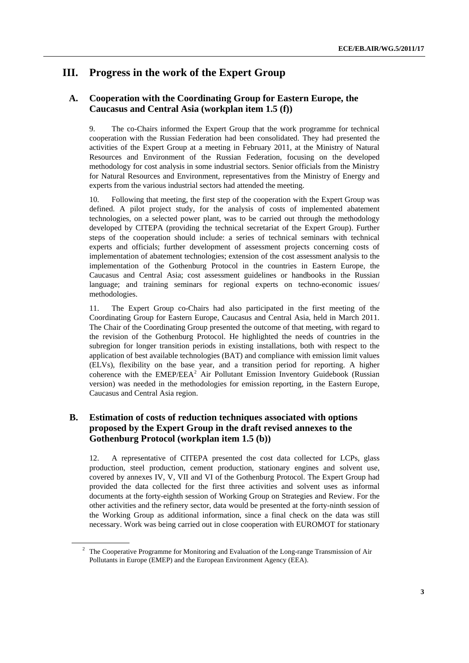# **III. Progress in the work of the Expert Group**

### **A. Cooperation with the Coordinating Group for Eastern Europe, the Caucasus and Central Asia (workplan item 1.5 (f))**

9. The co-Chairs informed the Expert Group that the work programme for technical cooperation with the Russian Federation had been consolidated. They had presented the activities of the Expert Group at a meeting in February 2011, at the Ministry of Natural Resources and Environment of the Russian Federation, focusing on the developed methodology for cost analysis in some industrial sectors. Senior officials from the Ministry for Natural Resources and Environment, representatives from the Ministry of Energy and experts from the various industrial sectors had attended the meeting.

<span id="page-2-0"></span>10. Following that meeting, the first step of the cooperation with the Expert Group was defined. A pilot project study, for the analysis of costs of implemented abatement technologies, on a selected power plant, was to be carried out through the methodology developed by CITEPA (providing the technical secretariat of the Expert Group). Further steps of the cooperation should include: a series of technical seminars with technical experts and officials; further development of assessment projects concerning costs of implementation of abatement technologies; extension of the cost assessment analysis to the implementation of the Gothenburg Protocol in the countries in Eastern Europe, the Caucasus and Central Asia; cost assessment guidelines or handbooks in the Russian language; and training seminars for regional experts on techno-economic issues/ methodologies.

11. The Expert Group co-Chairs had also participated in the first meeting of the Coordinating Group for Eastern Europe, Caucasus and Central Asia, held in March 2011. The Chair of the Coordinating Group presented the outcome of that meeting, with regard to the revision of the Gothenburg Protocol. He highlighted the needs of countries in the subregion for longer transition periods in existing installations, both with respect to the application of best available technologies (BAT) and compliance with emission limit values (ELVs), flexibility on the base year, and a transition period for reporting. A higher coherence with the  $EMEP/EEA<sup>2</sup>$  $EMEP/EEA<sup>2</sup>$  $EMEP/EEA<sup>2</sup>$  Air Pollutant Emission Inventory Guidebook (Russian version) was needed in the methodologies for emission reporting, in the Eastern Europe, Caucasus and Central Asia region.

### **B. Estimation of costs of reduction techniques associated with options proposed by the Expert Group in the draft revised annexes to the Gothenburg Protocol (workplan item 1.5 (b))**

12. A representative of CITEPA presented the cost data collected for LCPs, glass production, steel production, cement production, stationary engines and solvent use, covered by annexes IV, V, VII and VI of the Gothenburg Protocol. The Expert Group had provided the data collected for the first three activities and solvent uses as informal documents at the forty-eighth session of Working Group on Strategies and Review. For the other activities and the refinery sector, data would be presented at the forty-ninth session of the Working Group as additional information, since a final check on the data was still necessary. Work was being carried out in close cooperation with EUROMOT for stationary

<sup>&</sup>lt;sup>2</sup> The Cooperative Programme for Monitoring and Evaluation of the Long-range Transmission of Air Pollutants in Europe (EMEP) and the European Environment Agency (EEA).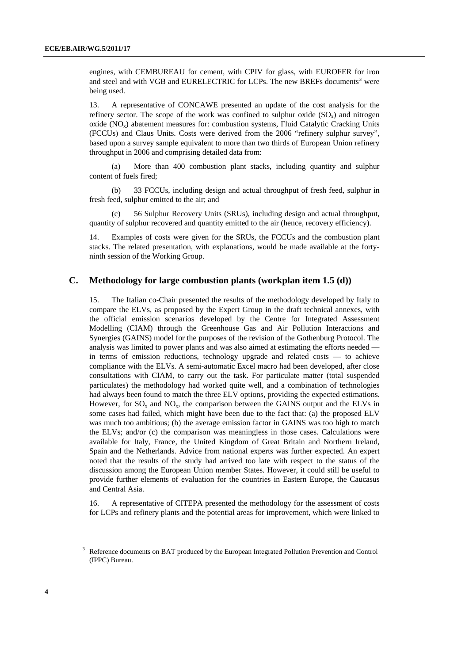engines, with CEMBUREAU for cement, with CPIV for glass, with EUROFER for iron and steel and with VGB and EURELECTRIC for LCPs. The new BREFs documents<sup>[3](#page-3-0)</sup> were being used.

13. A representative of CONCAWE presented an update of the cost analysis for the refinery sector. The scope of the work was confined to sulphur oxide  $(SO<sub>x</sub>)$  and nitrogen oxide (NOx) abatement measures for: combustion systems, Fluid Catalytic Cracking Units (FCCUs) and Claus Units. Costs were derived from the 2006 "refinery sulphur survey", based upon a survey sample equivalent to more than two thirds of European Union refinery throughput in 2006 and comprising detailed data from:

<span id="page-3-0"></span> (a) More than 400 combustion plant stacks, including quantity and sulphur content of fuels fired;

 (b) 33 FCCUs, including design and actual throughput of fresh feed, sulphur in fresh feed, sulphur emitted to the air; and

 (c) 56 Sulphur Recovery Units (SRUs), including design and actual throughput, quantity of sulphur recovered and quantity emitted to the air (hence, recovery efficiency).

14. Examples of costs were given for the SRUs, the FCCUs and the combustion plant stacks. The related presentation, with explanations, would be made available at the fortyninth session of the Working Group.

#### **C. Methodology for large combustion plants (workplan item 1.5 (d))**

15. The Italian co-Chair presented the results of the methodology developed by Italy to compare the ELVs, as proposed by the Expert Group in the draft technical annexes, with the official emission scenarios developed by the Centre for Integrated Assessment Modelling (CIAM) through the Greenhouse Gas and Air Pollution Interactions and Synergies (GAINS) model for the purposes of the revision of the Gothenburg Protocol. The analysis was limited to power plants and was also aimed at estimating the efforts needed in terms of emission reductions, technology upgrade and related costs — to achieve compliance with the ELVs. A semi-automatic Excel macro had been developed, after close consultations with CIAM, to carry out the task. For particulate matter (total suspended particulates) the methodology had worked quite well, and a combination of technologies had always been found to match the three ELV options, providing the expected estimations. However, for  $SO_x$  and  $NO_x$ , the comparison between the GAINS output and the ELVs in some cases had failed, which might have been due to the fact that: (a) the proposed ELV was much too ambitious; (b) the average emission factor in GAINS was too high to match the ELVs; and/or (c) the comparison was meaningless in those cases. Calculations were available for Italy, France, the United Kingdom of Great Britain and Northern Ireland, Spain and the Netherlands. Advice from national experts was further expected. An expert noted that the results of the study had arrived too late with respect to the status of the discussion among the European Union member States. However, it could still be useful to provide further elements of evaluation for the countries in Eastern Europe, the Caucasus and Central Asia.

16. A representative of CITEPA presented the methodology for the assessment of costs for LCPs and refinery plants and the potential areas for improvement, which were linked to

<sup>&</sup>lt;sup>3</sup> Reference documents on BAT produced by the European Integrated Pollution Prevention and Control (IPPC) Bureau.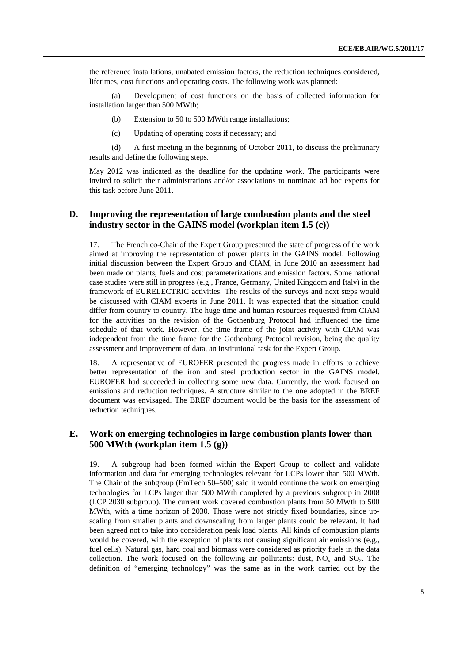the reference installations, unabated emission factors, the reduction techniques considered, lifetimes, cost functions and operating costs. The following work was planned:

 (a) Development of cost functions on the basis of collected information for installation larger than 500 MWth;

- (b) Extension to 50 to 500 MWth range installations;
- (c) Updating of operating costs if necessary; and

 (d) A first meeting in the beginning of October 2011, to discuss the preliminary results and define the following steps.

May 2012 was indicated as the deadline for the updating work. The participants were invited to solicit their administrations and/or associations to nominate ad hoc experts for this task before June 2011.

### **D. Improving the representation of large combustion plants and the steel industry sector in the GAINS model (workplan item 1.5 (c))**

17. The French co-Chair of the Expert Group presented the state of progress of the work aimed at improving the representation of power plants in the GAINS model. Following initial discussion between the Expert Group and CIAM, in June 2010 an assessment had been made on plants, fuels and cost parameterizations and emission factors. Some national case studies were still in progress (e.g., France, Germany, United Kingdom and Italy) in the framework of EURELECTRIC activities. The results of the surveys and next steps would be discussed with CIAM experts in June 2011. It was expected that the situation could differ from country to country. The huge time and human resources requested from CIAM for the activities on the revision of the Gothenburg Protocol had influenced the time schedule of that work. However, the time frame of the joint activity with CIAM was independent from the time frame for the Gothenburg Protocol revision, being the quality assessment and improvement of data, an institutional task for the Expert Group.

18. A representative of EUROFER presented the progress made in efforts to achieve better representation of the iron and steel production sector in the GAINS model. EUROFER had succeeded in collecting some new data. Currently, the work focused on emissions and reduction techniques. A structure similar to the one adopted in the BREF document was envisaged. The BREF document would be the basis for the assessment of reduction techniques.

#### **E. Work on emerging technologies in large combustion plants lower than 500 MWth (workplan item 1.5 (g))**

19. A subgroup had been formed within the Expert Group to collect and validate information and data for emerging technologies relevant for LCPs lower than 500 MWth. The Chair of the subgroup (EmTech 50–500) said it would continue the work on emerging technologies for LCPs larger than 500 MWth completed by a previous subgroup in 2008 (LCP 2030 subgroup). The current work covered combustion plants from 50 MWth to 500 MWth, with a time horizon of 2030. Those were not strictly fixed boundaries, since upscaling from smaller plants and downscaling from larger plants could be relevant. It had been agreed not to take into consideration peak load plants. All kinds of combustion plants would be covered, with the exception of plants not causing significant air emissions (e.g., fuel cells). Natural gas, hard coal and biomass were considered as priority fuels in the data collection. The work focused on the following air pollutants: dust,  $NO<sub>x</sub>$  and  $SO<sub>2</sub>$ . The definition of "emerging technology" was the same as in the work carried out by the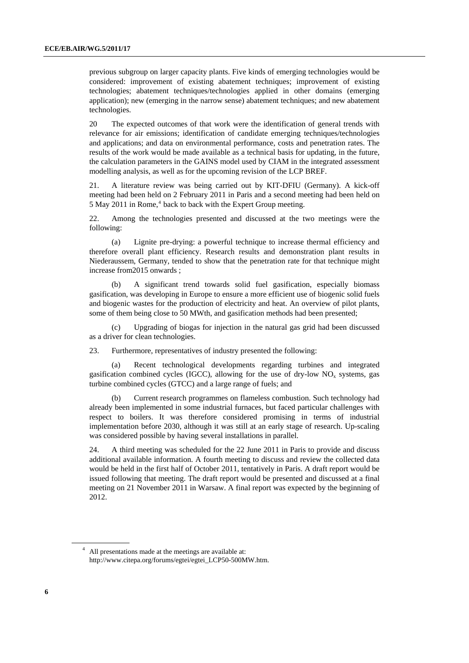previous subgroup on larger capacity plants. Five kinds of emerging technologies would be considered: improvement of existing abatement techniques; improvement of existing technologies; abatement techniques/technologies applied in other domains (emerging application); new (emerging in the narrow sense) abatement techniques; and new abatement technologies.

20 The expected outcomes of that work were the identification of general trends with relevance for air emissions; identification of candidate emerging techniques/technologies and applications; and data on environmental performance, costs and penetration rates. The results of the work would be made available as a technical basis for updating, in the future, the calculation parameters in the GAINS model used by CIAM in the integrated assessment modelling analysis, as well as for the upcoming revision of the LCP BREF.

<span id="page-5-0"></span>21. A literature review was being carried out by KIT-DFIU (Germany). A kick-off meeting had been held on 2 February 2011 in Paris and a second meeting had been held on 5 May 2011 in Rome,<sup>[4](#page-5-0)</sup> back to back with the Expert Group meeting.

22. Among the technologies presented and discussed at the two meetings were the following:

 (a) Lignite pre-drying: a powerful technique to increase thermal efficiency and therefore overall plant efficiency. Research results and demonstration plant results in Niederaussem, Germany, tended to show that the penetration rate for that technique might increase from2015 onwards ;

 (b) A significant trend towards solid fuel gasification, especially biomass gasification, was developing in Europe to ensure a more efficient use of biogenic solid fuels and biogenic wastes for the production of electricity and heat. An overview of pilot plants, some of them being close to 50 MWth, and gasification methods had been presented;

 (c) Upgrading of biogas for injection in the natural gas grid had been discussed as a driver for clean technologies.

23. Furthermore, representatives of industry presented the following:

 (a) Recent technological developments regarding turbines and integrated gasification combined cycles (IGCC), allowing for the use of dry-low  $NO<sub>x</sub>$  systems, gas turbine combined cycles (GTCC) and a large range of fuels; and

 (b) Current research programmes on flameless combustion. Such technology had already been implemented in some industrial furnaces, but faced particular challenges with respect to boilers. It was therefore considered promising in terms of industrial implementation before 2030, although it was still at an early stage of research. Up-scaling was considered possible by having several installations in parallel.

24. A third meeting was scheduled for the 22 June 2011 in Paris to provide and discuss additional available information. A fourth meeting to discuss and review the collected data would be held in the first half of October 2011, tentatively in Paris. A draft report would be issued following that meeting. The draft report would be presented and discussed at a final meeting on 21 November 2011 in Warsaw. A final report was expected by the beginning of 2012.

<sup>4</sup> All presentations made at the meetings are available at: [http://www.citepa.org/forums/egtei/egtei\\_LCP50-500MW.htm.](http://www.citepa.org/forums/egtei/egtei_LCP50-500MW.htm)